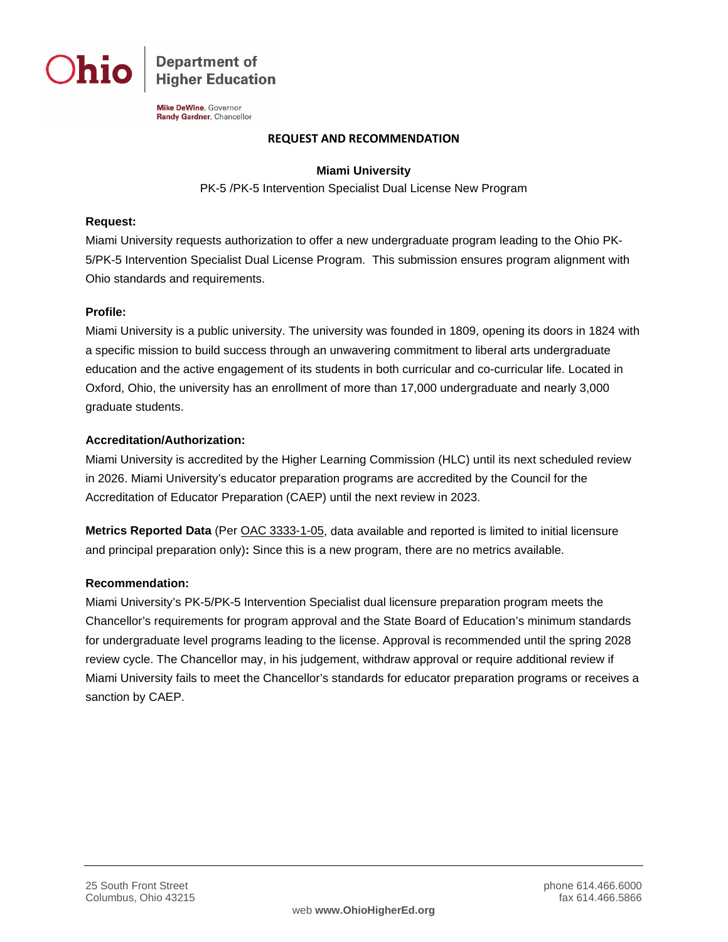

**Department of Higher Education** 

Mike DeWine, Governor Randy Gardner, Chancellor

#### **REQUEST AND RECOMMENDATION**

## **Miami University**

PK-5 /PK-5 Intervention Specialist Dual License New Program

#### **Request:**

Miami University requests authorization to offer a new undergraduate program leading to the Ohio PK-5/PK-5 Intervention Specialist Dual License Program. This submission ensures program alignment with Ohio standards and requirements.

## **Profile:**

Miami University is a public university. The university was founded in 1809, opening its doors in 1824 with a specific mission to build success through an unwavering commitment to liberal arts undergraduate education and the active engagement of its students in both curricular and co-curricular life. Located in Oxford, Ohio, the university has an enrollment of more than 17,000 undergraduate and nearly 3,000 graduate students.

## **Accreditation/Authorization:**

Miami University is accredited by the Higher Learning Commission (HLC) until its next scheduled review in 2026. Miami University's educator preparation programs are accredited by the Council for the Accreditation of Educator Preparation (CAEP) until the next review in 2023.

**Metrics Reported Data** (Per [OAC 3333-1-05,](http://codes.ohio.gov/oac/3333-1-05) data available and reported is limited to initial licensure and principal preparation only)**:** Since this is a new program, there are no metrics available.

## **Recommendation:**

Miami University's PK-5/PK-5 Intervention Specialist dual licensure preparation program meets the Chancellor's requirements for program approval and the State Board of Education's minimum standards for undergraduate level programs leading to the license. Approval is recommended until the spring 2028 review cycle. The Chancellor may, in his judgement, withdraw approval or require additional review if Miami University fails to meet the Chancellor's standards for educator preparation programs or receives a sanction by CAEP.